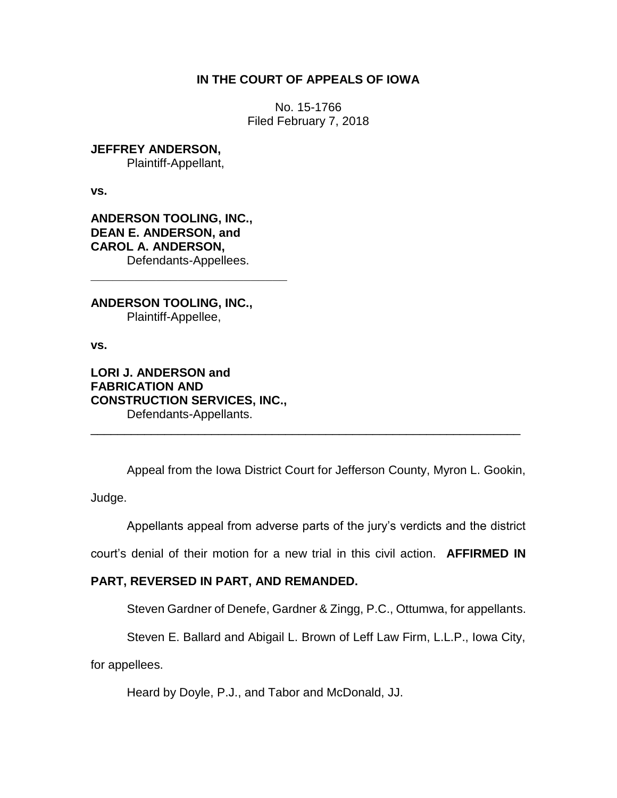## **IN THE COURT OF APPEALS OF IOWA**

No. 15-1766 Filed February 7, 2018

**JEFFREY ANDERSON,** Plaintiff-Appellant,

**vs.**

**ANDERSON TOOLING, INC., DEAN E. ANDERSON, and CAROL A. ANDERSON,** Defendants-Appellees.

**\_\_\_\_\_\_\_\_\_\_\_\_\_\_\_\_\_\_\_\_\_\_\_\_\_\_\_**

**ANDERSON TOOLING, INC.,** Plaintiff-Appellee,

**vs.**

**LORI J. ANDERSON and FABRICATION AND CONSTRUCTION SERVICES, INC.,** Defendants-Appellants.

Appeal from the Iowa District Court for Jefferson County, Myron L. Gookin,

\_\_\_\_\_\_\_\_\_\_\_\_\_\_\_\_\_\_\_\_\_\_\_\_\_\_\_\_\_\_\_\_\_\_\_\_\_\_\_\_\_\_\_\_\_\_\_\_\_\_\_\_\_\_\_\_\_\_\_\_\_\_\_\_

Judge.

Appellants appeal from adverse parts of the jury's verdicts and the district

court's denial of their motion for a new trial in this civil action. **AFFIRMED IN** 

# **PART, REVERSED IN PART, AND REMANDED.**

Steven Gardner of Denefe, Gardner & Zingg, P.C., Ottumwa, for appellants.

Steven E. Ballard and Abigail L. Brown of Leff Law Firm, L.L.P., Iowa City,

for appellees.

Heard by Doyle, P.J., and Tabor and McDonald, JJ.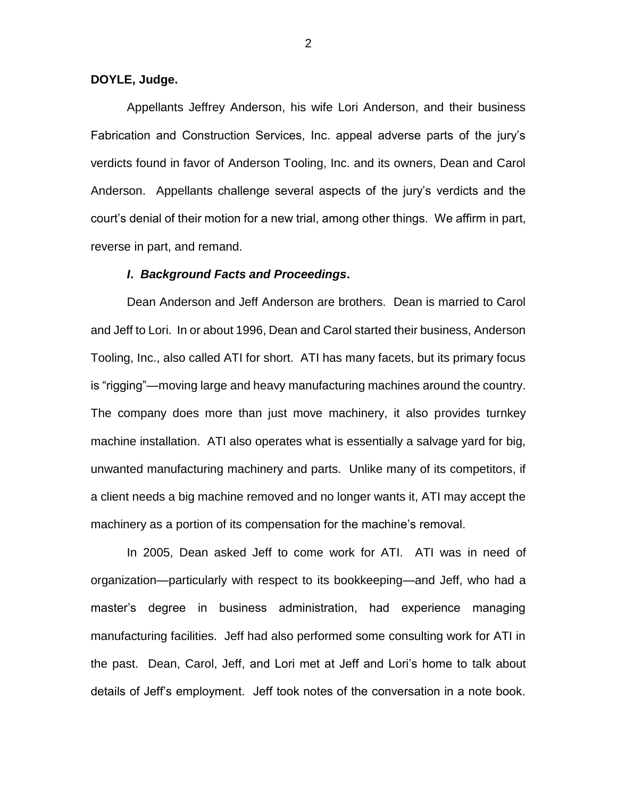## **DOYLE, Judge.**

Appellants Jeffrey Anderson, his wife Lori Anderson, and their business Fabrication and Construction Services, Inc. appeal adverse parts of the jury's verdicts found in favor of Anderson Tooling, Inc. and its owners, Dean and Carol Anderson. Appellants challenge several aspects of the jury's verdicts and the court's denial of their motion for a new trial, among other things. We affirm in part, reverse in part, and remand.

### *I***.** *Background Facts and Proceedings***.**

Dean Anderson and Jeff Anderson are brothers. Dean is married to Carol and Jeff to Lori. In or about 1996, Dean and Carol started their business, Anderson Tooling, Inc., also called ATI for short. ATI has many facets, but its primary focus is "rigging"—moving large and heavy manufacturing machines around the country. The company does more than just move machinery, it also provides turnkey machine installation. ATI also operates what is essentially a salvage yard for big, unwanted manufacturing machinery and parts. Unlike many of its competitors, if a client needs a big machine removed and no longer wants it, ATI may accept the machinery as a portion of its compensation for the machine's removal.

In 2005, Dean asked Jeff to come work for ATI. ATI was in need of organization—particularly with respect to its bookkeeping—and Jeff, who had a master's degree in business administration, had experience managing manufacturing facilities. Jeff had also performed some consulting work for ATI in the past. Dean, Carol, Jeff, and Lori met at Jeff and Lori's home to talk about details of Jeff's employment. Jeff took notes of the conversation in a note book.

2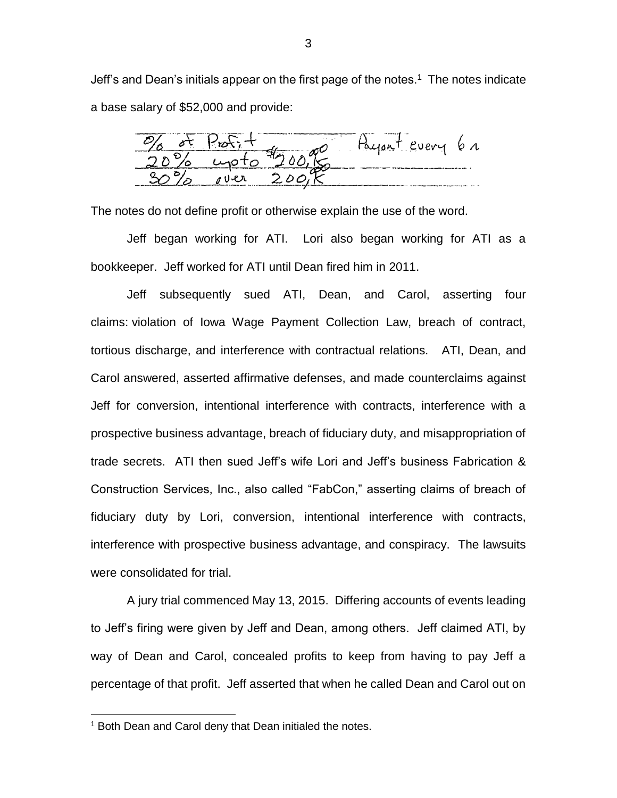Jeff's and Dean's initials appear on the first page of the notes.<sup>1</sup> The notes indicate a base salary of \$52,000 and provide:

100, Regent every 6 r

The notes do not define profit or otherwise explain the use of the word.

Jeff began working for ATI. Lori also began working for ATI as a bookkeeper. Jeff worked for ATI until Dean fired him in 2011.

Jeff subsequently sued ATI, Dean, and Carol, asserting four claims: violation of Iowa Wage Payment Collection Law, breach of contract, tortious discharge, and interference with contractual relations. ATI, Dean, and Carol answered, asserted affirmative defenses, and made counterclaims against Jeff for conversion, intentional interference with contracts, interference with a prospective business advantage, breach of fiduciary duty, and misappropriation of trade secrets. ATI then sued Jeff's wife Lori and Jeff's business Fabrication & Construction Services, Inc., also called "FabCon," asserting claims of breach of fiduciary duty by Lori, conversion, intentional interference with contracts, interference with prospective business advantage, and conspiracy. The lawsuits were consolidated for trial.

A jury trial commenced May 13, 2015. Differing accounts of events leading to Jeff's firing were given by Jeff and Dean, among others. Jeff claimed ATI, by way of Dean and Carol, concealed profits to keep from having to pay Jeff a percentage of that profit. Jeff asserted that when he called Dean and Carol out on

 $\overline{a}$ 

 $1$  Both Dean and Carol deny that Dean initialed the notes.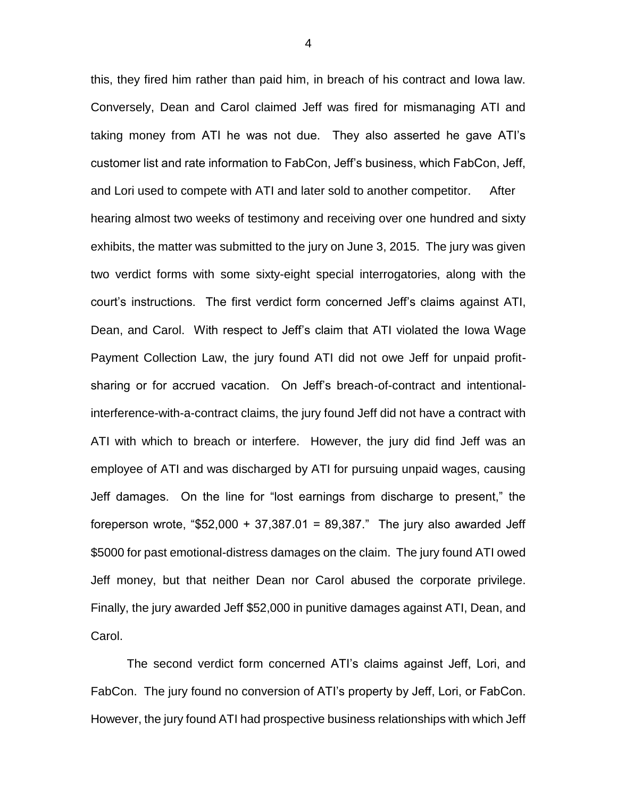this, they fired him rather than paid him, in breach of his contract and Iowa law. Conversely, Dean and Carol claimed Jeff was fired for mismanaging ATI and taking money from ATI he was not due. They also asserted he gave ATI's customer list and rate information to FabCon, Jeff's business, which FabCon, Jeff, and Lori used to compete with ATI and later sold to another competitor. After hearing almost two weeks of testimony and receiving over one hundred and sixty exhibits, the matter was submitted to the jury on June 3, 2015. The jury was given two verdict forms with some sixty-eight special interrogatories, along with the court's instructions. The first verdict form concerned Jeff's claims against ATI, Dean, and Carol. With respect to Jeff's claim that ATI violated the Iowa Wage Payment Collection Law, the jury found ATI did not owe Jeff for unpaid profitsharing or for accrued vacation. On Jeff's breach-of-contract and intentionalinterference-with-a-contract claims, the jury found Jeff did not have a contract with ATI with which to breach or interfere. However, the jury did find Jeff was an employee of ATI and was discharged by ATI for pursuing unpaid wages, causing Jeff damages. On the line for "lost earnings from discharge to present," the foreperson wrote, "\$52,000 + 37,387.01 = 89,387." The jury also awarded Jeff \$5000 for past emotional-distress damages on the claim. The jury found ATI owed Jeff money, but that neither Dean nor Carol abused the corporate privilege. Finally, the jury awarded Jeff \$52,000 in punitive damages against ATI, Dean, and Carol.

The second verdict form concerned ATI's claims against Jeff, Lori, and FabCon. The jury found no conversion of ATI's property by Jeff, Lori, or FabCon. However, the jury found ATI had prospective business relationships with which Jeff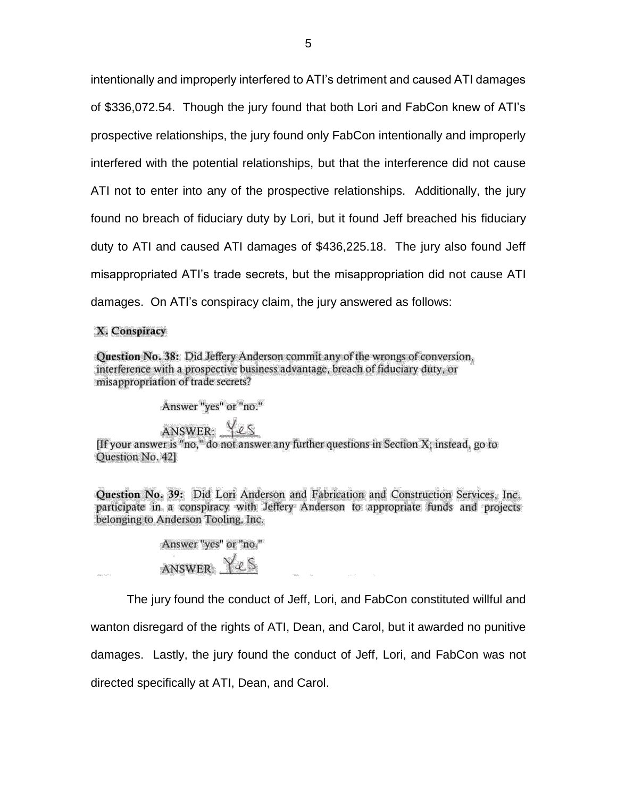intentionally and improperly interfered to ATI's detriment and caused ATI damages of \$336,072.54. Though the jury found that both Lori and FabCon knew of ATI's prospective relationships, the jury found only FabCon intentionally and improperly interfered with the potential relationships, but that the interference did not cause ATI not to enter into any of the prospective relationships. Additionally, the jury found no breach of fiduciary duty by Lori, but it found Jeff breached his fiduciary duty to ATI and caused ATI damages of \$436,225.18. The jury also found Jeff misappropriated ATI's trade secrets, but the misappropriation did not cause ATI damages. On ATI's conspiracy claim, the jury answered as follows:

X. Conspiracy

Question No. 38: Did Jeffery Anderson commit any of the wrongs of conversion, interference with a prospective business advantage, breach of fiduciary duty, or misappropriation of trade secrets?

Answer "yes" or "no."

ANSWER:  $\underbrace{\sqrt{2S}}$ <br>[If your answer is "no," do not answer any further questions in Section X; instead, go to Question No. 421

Question No. 39: Did Lori Anderson and Fabrication and Construction Services, Inc. participate in a conspiracy with Jeffery Anderson to appropriate funds and projects belonging to Anderson Tooling, Inc.

> Answer "yes" or "no." ANSWER: Yes

The jury found the conduct of Jeff, Lori, and FabCon constituted willful and

wanton disregard of the rights of ATI, Dean, and Carol, but it awarded no punitive

damages. Lastly, the jury found the conduct of Jeff, Lori, and FabCon was not

directed specifically at ATI, Dean, and Carol.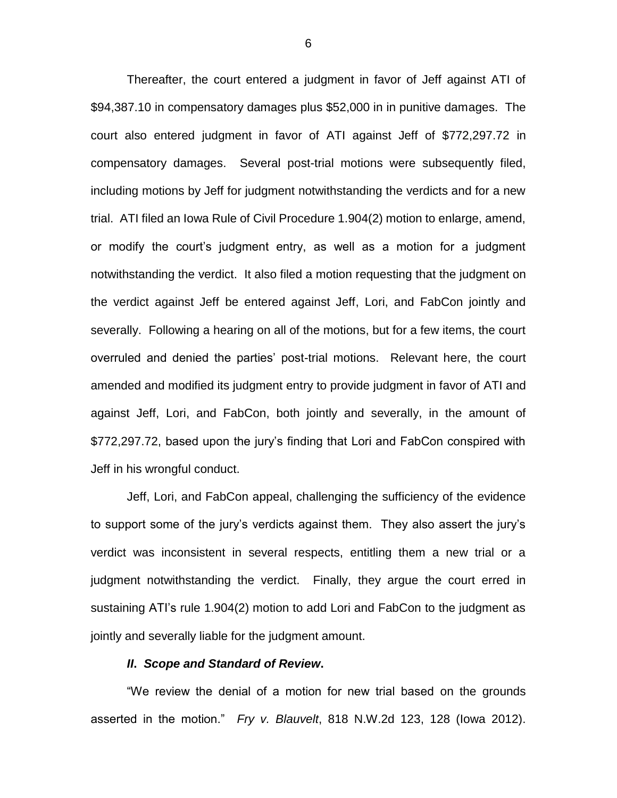Thereafter, the court entered a judgment in favor of Jeff against ATI of \$94,387.10 in compensatory damages plus \$52,000 in in punitive damages. The court also entered judgment in favor of ATI against Jeff of \$772,297.72 in compensatory damages. Several post-trial motions were subsequently filed, including motions by Jeff for judgment notwithstanding the verdicts and for a new trial. ATI filed an Iowa Rule of Civil Procedure 1.904(2) motion to enlarge, amend, or modify the court's judgment entry, as well as a motion for a judgment notwithstanding the verdict. It also filed a motion requesting that the judgment on the verdict against Jeff be entered against Jeff, Lori, and FabCon jointly and severally. Following a hearing on all of the motions, but for a few items, the court overruled and denied the parties' post-trial motions. Relevant here, the court amended and modified its judgment entry to provide judgment in favor of ATI and against Jeff, Lori, and FabCon, both jointly and severally, in the amount of \$772,297.72, based upon the jury's finding that Lori and FabCon conspired with Jeff in his wrongful conduct.

Jeff, Lori, and FabCon appeal, challenging the sufficiency of the evidence to support some of the jury's verdicts against them. They also assert the jury's verdict was inconsistent in several respects, entitling them a new trial or a judgment notwithstanding the verdict. Finally, they argue the court erred in sustaining ATI's rule 1.904(2) motion to add Lori and FabCon to the judgment as jointly and severally liable for the judgment amount.

### *II***.** *Scope and Standard of Review***.**

"We review the denial of a motion for new trial based on the grounds asserted in the motion." *Fry v. Blauvelt*, 818 N.W.2d 123, 128 (Iowa 2012).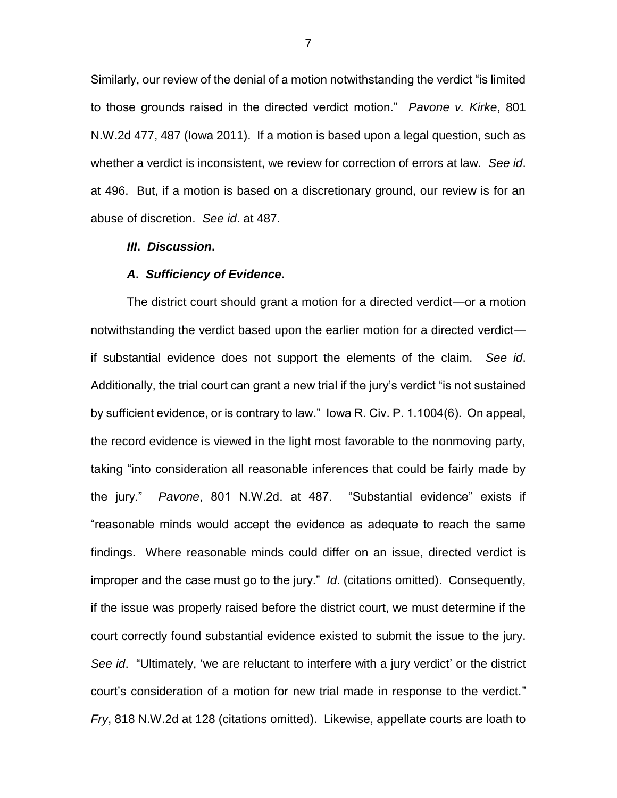Similarly, our review of the denial of a motion notwithstanding the verdict "is limited to those grounds raised in the directed verdict motion." *Pavone v. Kirke*, 801 N.W.2d 477, 487 (Iowa 2011). If a motion is based upon a legal question, such as whether a verdict is inconsistent, we review for correction of errors at law. *See id*. at 496. But, if a motion is based on a discretionary ground, our review is for an abuse of discretion. *See id*. at 487.

#### *III***.** *Discussion***.**

#### *A***.** *Sufficiency of Evidence***.**

The district court should grant a motion for a directed verdict—or a motion notwithstanding the verdict based upon the earlier motion for a directed verdict if substantial evidence does not support the elements of the claim. *See id*. Additionally, the trial court can grant a new trial if the jury's verdict "is not sustained by sufficient evidence, or is contrary to law." Iowa R. Civ. P. 1.1004(6). On appeal, the record evidence is viewed in the light most favorable to the nonmoving party, taking "into consideration all reasonable inferences that could be fairly made by the jury." *Pavone*, 801 N.W.2d. at 487. "Substantial evidence" exists if "reasonable minds would accept the evidence as adequate to reach the same findings. Where reasonable minds could differ on an issue, directed verdict is improper and the case must go to the jury." *Id*. (citations omitted). Consequently, if the issue was properly raised before the district court, we must determine if the court correctly found substantial evidence existed to submit the issue to the jury. *See id*. "Ultimately, 'we are reluctant to interfere with a jury verdict' or the district court's consideration of a motion for new trial made in response to the verdict." *Fry*, 818 N.W.2d at 128 (citations omitted). Likewise, appellate courts are loath to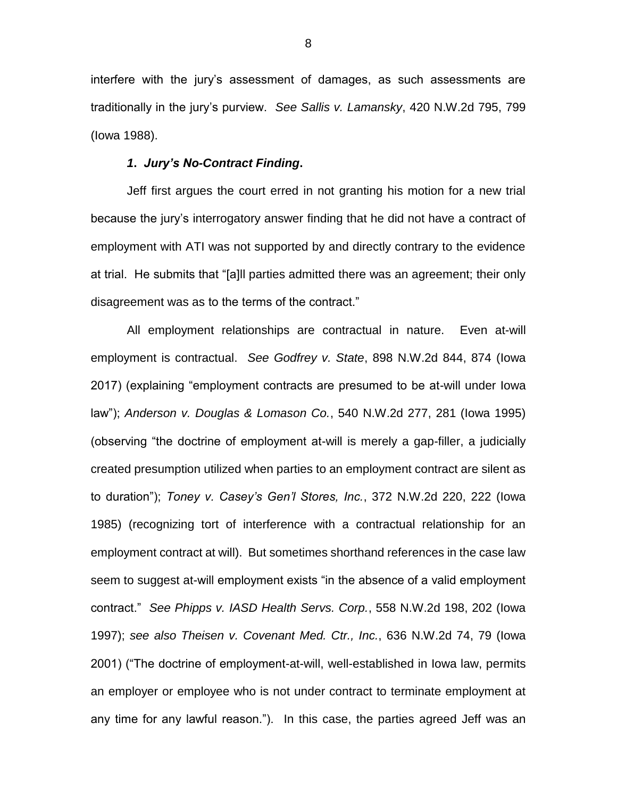interfere with the jury's assessment of damages, as such assessments are traditionally in the jury's purview. *See Sallis v. Lamansky*, 420 N.W.2d 795, 799 (Iowa 1988).

## *1***.** *Jury's No-Contract Finding***.**

Jeff first argues the court erred in not granting his motion for a new trial because the jury's interrogatory answer finding that he did not have a contract of employment with ATI was not supported by and directly contrary to the evidence at trial. He submits that "[a]ll parties admitted there was an agreement; their only disagreement was as to the terms of the contract."

All employment relationships are contractual in nature. Even at-will employment is contractual. *See Godfrey v. State*, 898 N.W.2d 844, 874 (Iowa 2017) (explaining "employment contracts are presumed to be at-will under Iowa law"); *Anderson v. Douglas & Lomason Co.*, 540 N.W.2d 277, 281 (Iowa 1995) (observing "the doctrine of employment at-will is merely a gap-filler, a judicially created presumption utilized when parties to an employment contract are silent as to duration"); *Toney v. Casey's Gen'l Stores, Inc.*, 372 N.W.2d 220, 222 (Iowa 1985) (recognizing tort of interference with a contractual relationship for an employment contract at will). But sometimes shorthand references in the case law seem to suggest at-will employment exists "in the absence of a valid employment contract." *See Phipps v. IASD Health Servs. Corp.*, 558 N.W.2d 198, 202 (Iowa 1997); *see also Theisen v. Covenant Med. Ctr., Inc.*, 636 N.W.2d 74, 79 (Iowa 2001) ("The doctrine of employment-at-will, well-established in Iowa law, permits an employer or employee who is not under contract to terminate employment at any time for any lawful reason."). In this case, the parties agreed Jeff was an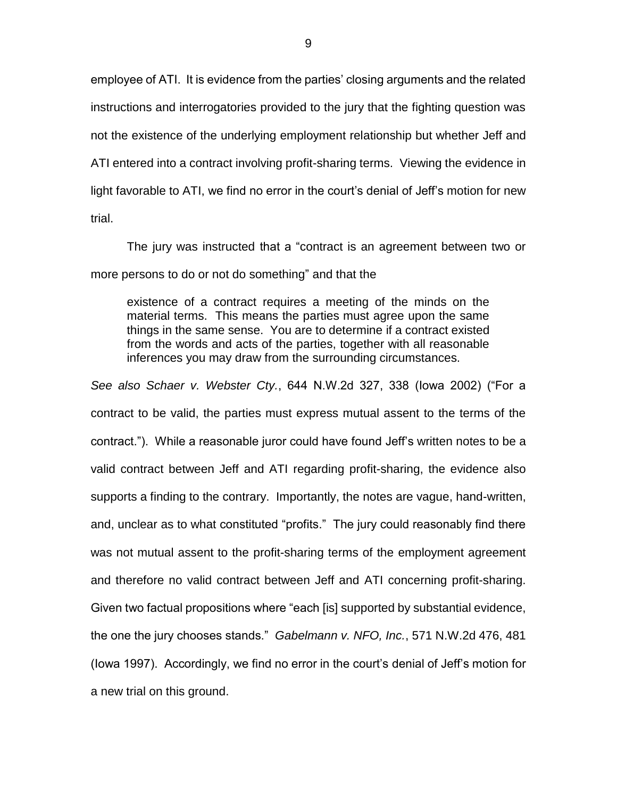employee of ATI. It is evidence from the parties' closing arguments and the related instructions and interrogatories provided to the jury that the fighting question was not the existence of the underlying employment relationship but whether Jeff and ATI entered into a contract involving profit-sharing terms. Viewing the evidence in light favorable to ATI, we find no error in the court's denial of Jeff's motion for new trial.

The jury was instructed that a "contract is an agreement between two or more persons to do or not do something" and that the

existence of a contract requires a meeting of the minds on the material terms. This means the parties must agree upon the same things in the same sense. You are to determine if a contract existed from the words and acts of the parties, together with all reasonable inferences you may draw from the surrounding circumstances.

*See also Schaer v. Webster Cty.*, 644 N.W.2d 327, 338 (Iowa 2002) ("For a contract to be valid, the parties must express mutual assent to the terms of the contract."). While a reasonable juror could have found Jeff's written notes to be a valid contract between Jeff and ATI regarding profit-sharing, the evidence also supports a finding to the contrary. Importantly, the notes are vague, hand-written, and, unclear as to what constituted "profits." The jury could reasonably find there was not mutual assent to the profit-sharing terms of the employment agreement and therefore no valid contract between Jeff and ATI concerning profit-sharing. Given two factual propositions where "each [is] supported by substantial evidence, the one the jury chooses stands." *Gabelmann v. NFO, Inc.*, 571 N.W.2d 476, 481 (Iowa 1997). Accordingly, we find no error in the court's denial of Jeff's motion for a new trial on this ground.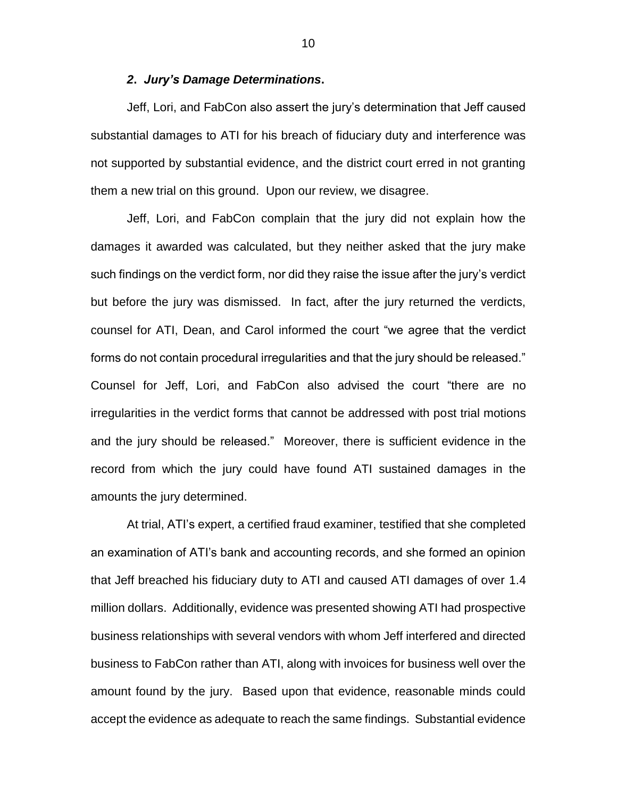## *2***.** *Jury's Damage Determinations***.**

Jeff, Lori, and FabCon also assert the jury's determination that Jeff caused substantial damages to ATI for his breach of fiduciary duty and interference was not supported by substantial evidence, and the district court erred in not granting them a new trial on this ground. Upon our review, we disagree.

Jeff, Lori, and FabCon complain that the jury did not explain how the damages it awarded was calculated, but they neither asked that the jury make such findings on the verdict form, nor did they raise the issue after the jury's verdict but before the jury was dismissed. In fact, after the jury returned the verdicts, counsel for ATI, Dean, and Carol informed the court "we agree that the verdict forms do not contain procedural irregularities and that the jury should be released." Counsel for Jeff, Lori, and FabCon also advised the court "there are no irregularities in the verdict forms that cannot be addressed with post trial motions and the jury should be released." Moreover, there is sufficient evidence in the record from which the jury could have found ATI sustained damages in the amounts the jury determined.

At trial, ATI's expert, a certified fraud examiner, testified that she completed an examination of ATI's bank and accounting records, and she formed an opinion that Jeff breached his fiduciary duty to ATI and caused ATI damages of over 1.4 million dollars. Additionally, evidence was presented showing ATI had prospective business relationships with several vendors with whom Jeff interfered and directed business to FabCon rather than ATI, along with invoices for business well over the amount found by the jury. Based upon that evidence, reasonable minds could accept the evidence as adequate to reach the same findings. Substantial evidence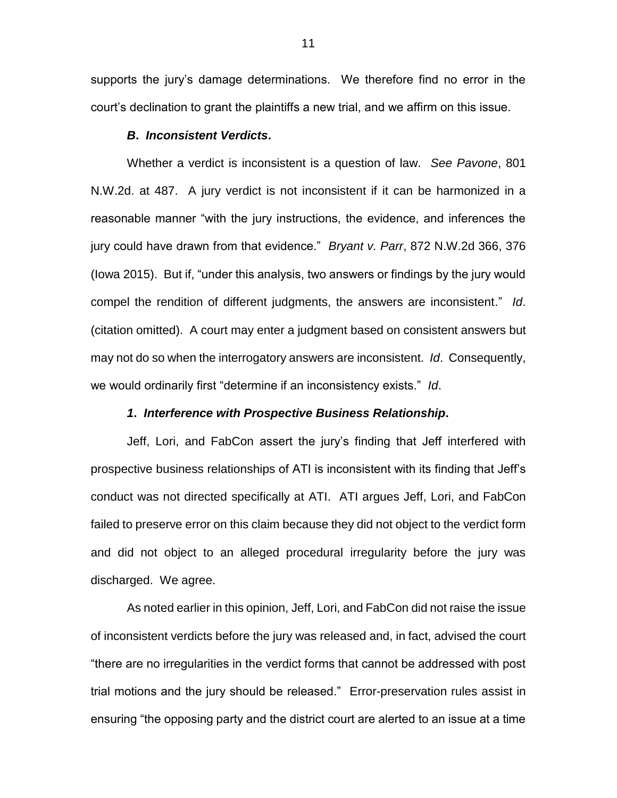supports the jury's damage determinations. We therefore find no error in the court's declination to grant the plaintiffs a new trial, and we affirm on this issue.

## *B***.** *Inconsistent Verdicts***.**

Whether a verdict is inconsistent is a question of law. *See Pavone*, 801 N.W.2d. at 487. A jury verdict is not inconsistent if it can be harmonized in a reasonable manner "with the jury instructions, the evidence, and inferences the jury could have drawn from that evidence." *Bryant v. Parr*, 872 N.W.2d 366, 376 (Iowa 2015). But if, "under this analysis, two answers or findings by the jury would compel the rendition of different judgments, the answers are inconsistent." *Id*. (citation omitted). A court may enter a judgment based on consistent answers but may not do so when the interrogatory answers are inconsistent. *Id*. Consequently, we would ordinarily first "determine if an inconsistency exists." *Id*.

## *1***.** *Interference with Prospective Business Relationship***.**

Jeff, Lori, and FabCon assert the jury's finding that Jeff interfered with prospective business relationships of ATI is inconsistent with its finding that Jeff's conduct was not directed specifically at ATI. ATI argues Jeff, Lori, and FabCon failed to preserve error on this claim because they did not object to the verdict form and did not object to an alleged procedural irregularity before the jury was discharged. We agree.

As noted earlier in this opinion, Jeff, Lori, and FabCon did not raise the issue of inconsistent verdicts before the jury was released and, in fact, advised the court "there are no irregularities in the verdict forms that cannot be addressed with post trial motions and the jury should be released." Error-preservation rules assist in ensuring "the opposing party and the district court are alerted to an issue at a time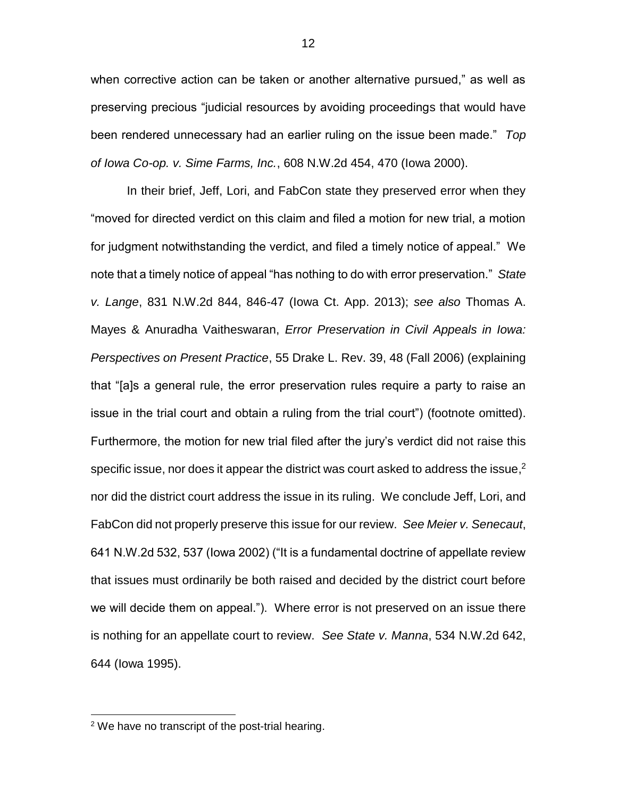when corrective action can be taken or another alternative pursued," as well as preserving precious "judicial resources by avoiding proceedings that would have been rendered unnecessary had an earlier ruling on the issue been made." *Top of Iowa Co-op. v. Sime Farms, Inc.*, 608 N.W.2d 454, 470 (Iowa 2000).

In their brief, Jeff, Lori, and FabCon state they preserved error when they "moved for directed verdict on this claim and filed a motion for new trial, a motion for judgment notwithstanding the verdict, and filed a timely notice of appeal." We note that a timely notice of appeal "has nothing to do with error preservation." *State v. Lange*, 831 N.W.2d 844, 846-47 (Iowa Ct. App. 2013); *see also* Thomas A. Mayes & Anuradha Vaitheswaran, *Error Preservation in Civil Appeals in Iowa: Perspectives on Present Practice*, 55 Drake L. Rev. 39, 48 (Fall 2006) (explaining that "[a]s a general rule, the error preservation rules require a party to raise an issue in the trial court and obtain a ruling from the trial court") (footnote omitted). Furthermore, the motion for new trial filed after the jury's verdict did not raise this specific issue, nor does it appear the district was court asked to address the issue,<sup>2</sup> nor did the district court address the issue in its ruling. We conclude Jeff, Lori, and FabCon did not properly preserve this issue for our review. *See Meier v. Senecaut*, 641 N.W.2d 532, 537 (Iowa 2002) ("It is a fundamental doctrine of appellate review that issues must ordinarily be both raised and decided by the district court before we will decide them on appeal."). Where error is not preserved on an issue there is nothing for an appellate court to review. *See State v. Manna*, 534 N.W.2d 642, 644 (Iowa 1995).

 $\overline{a}$ 

 $2$  We have no transcript of the post-trial hearing.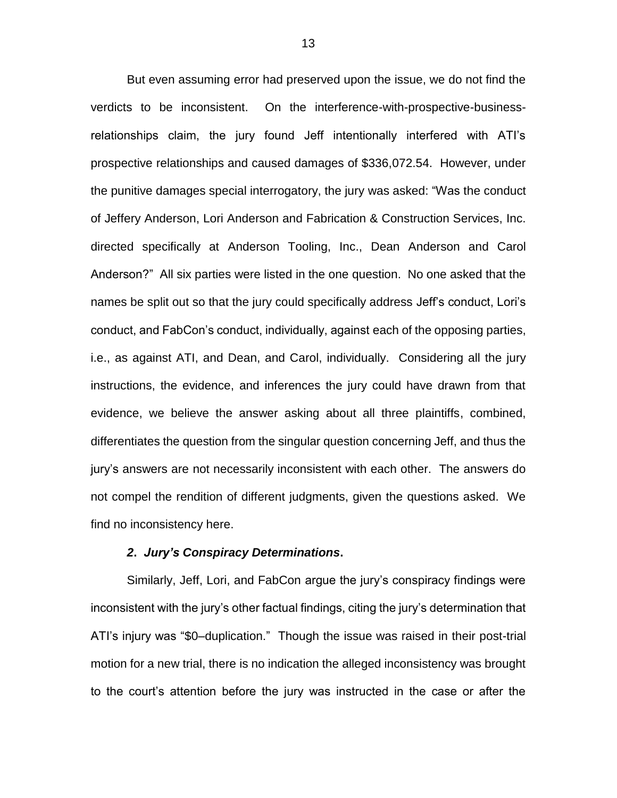But even assuming error had preserved upon the issue, we do not find the verdicts to be inconsistent. On the interference-with-prospective-businessrelationships claim, the jury found Jeff intentionally interfered with ATI's prospective relationships and caused damages of \$336,072.54. However, under the punitive damages special interrogatory, the jury was asked: "Was the conduct of Jeffery Anderson, Lori Anderson and Fabrication & Construction Services, Inc. directed specifically at Anderson Tooling, Inc., Dean Anderson and Carol Anderson?" All six parties were listed in the one question. No one asked that the names be split out so that the jury could specifically address Jeff's conduct, Lori's conduct, and FabCon's conduct, individually, against each of the opposing parties, i.e., as against ATI, and Dean, and Carol, individually. Considering all the jury instructions, the evidence, and inferences the jury could have drawn from that evidence, we believe the answer asking about all three plaintiffs, combined, differentiates the question from the singular question concerning Jeff, and thus the jury's answers are not necessarily inconsistent with each other. The answers do not compel the rendition of different judgments, given the questions asked. We find no inconsistency here.

## *2***.** *Jury's Conspiracy Determinations***.**

Similarly, Jeff, Lori, and FabCon argue the jury's conspiracy findings were inconsistent with the jury's other factual findings, citing the jury's determination that ATI's injury was "\$0–duplication." Though the issue was raised in their post-trial motion for a new trial, there is no indication the alleged inconsistency was brought to the court's attention before the jury was instructed in the case or after the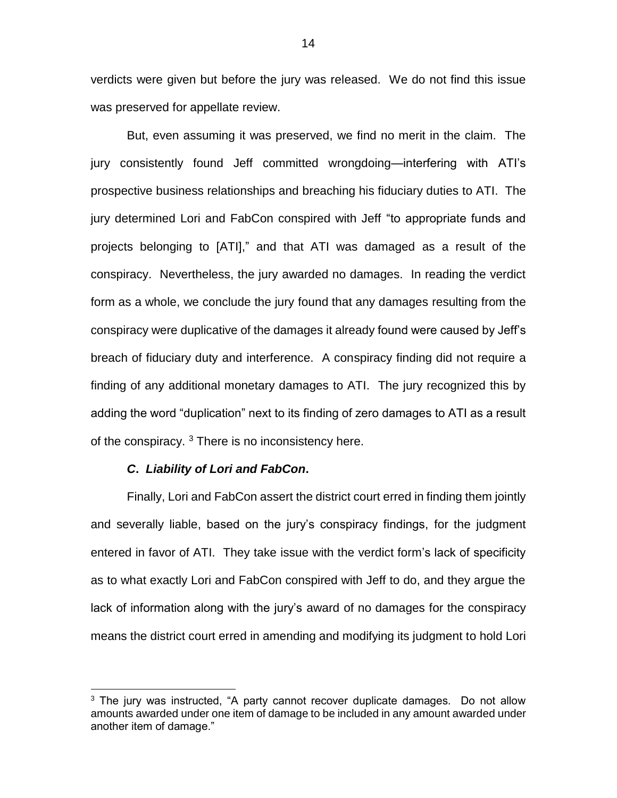verdicts were given but before the jury was released. We do not find this issue was preserved for appellate review.

But, even assuming it was preserved, we find no merit in the claim. The jury consistently found Jeff committed wrongdoing—interfering with ATI's prospective business relationships and breaching his fiduciary duties to ATI. The jury determined Lori and FabCon conspired with Jeff "to appropriate funds and projects belonging to [ATI]," and that ATI was damaged as a result of the conspiracy. Nevertheless, the jury awarded no damages. In reading the verdict form as a whole, we conclude the jury found that any damages resulting from the conspiracy were duplicative of the damages it already found were caused by Jeff's breach of fiduciary duty and interference. A conspiracy finding did not require a finding of any additional monetary damages to ATI. The jury recognized this by adding the word "duplication" next to its finding of zero damages to ATI as a result of the conspiracy.  $3$  There is no inconsistency here.

#### *C***.** *Liability of Lori and FabCon***.**

 $\overline{a}$ 

Finally, Lori and FabCon assert the district court erred in finding them jointly and severally liable, based on the jury's conspiracy findings, for the judgment entered in favor of ATI. They take issue with the verdict form's lack of specificity as to what exactly Lori and FabCon conspired with Jeff to do, and they argue the lack of information along with the jury's award of no damages for the conspiracy means the district court erred in amending and modifying its judgment to hold Lori

 $3$  The jury was instructed, "A party cannot recover duplicate damages. Do not allow amounts awarded under one item of damage to be included in any amount awarded under another item of damage."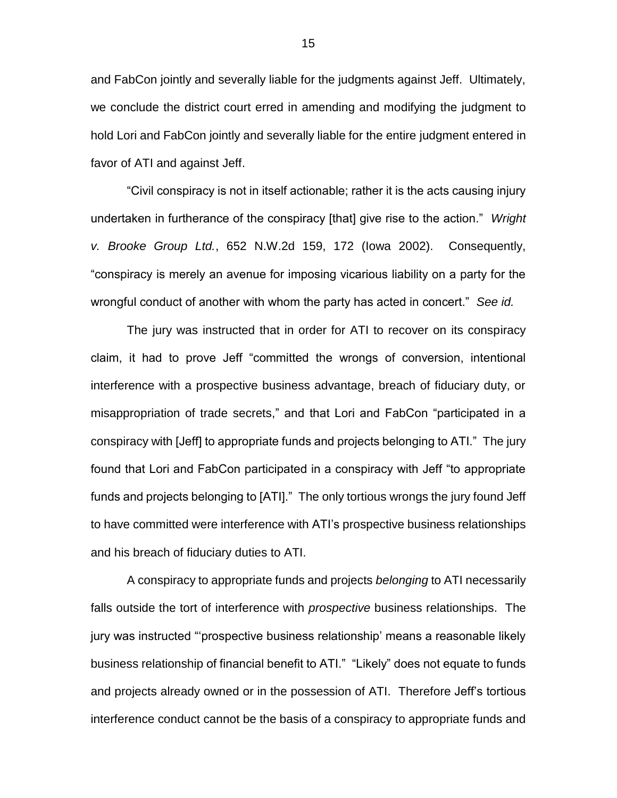and FabCon jointly and severally liable for the judgments against Jeff. Ultimately, we conclude the district court erred in amending and modifying the judgment to hold Lori and FabCon jointly and severally liable for the entire judgment entered in favor of ATI and against Jeff.

"Civil conspiracy is not in itself actionable; rather it is the acts causing injury undertaken in furtherance of the conspiracy [that] give rise to the action." *Wright v. Brooke Group Ltd.*, 652 N.W.2d 159, 172 (Iowa 2002). Consequently, "conspiracy is merely an avenue for imposing vicarious liability on a party for the wrongful conduct of another with whom the party has acted in concert." *See id.*

The jury was instructed that in order for ATI to recover on its conspiracy claim, it had to prove Jeff "committed the wrongs of conversion, intentional interference with a prospective business advantage, breach of fiduciary duty, or misappropriation of trade secrets," and that Lori and FabCon "participated in a conspiracy with [Jeff] to appropriate funds and projects belonging to ATI." The jury found that Lori and FabCon participated in a conspiracy with Jeff "to appropriate funds and projects belonging to [ATI]." The only tortious wrongs the jury found Jeff to have committed were interference with ATI's prospective business relationships and his breach of fiduciary duties to ATI.

A conspiracy to appropriate funds and projects *belonging* to ATI necessarily falls outside the tort of interference with *prospective* business relationships. The jury was instructed "'prospective business relationship' means a reasonable likely business relationship of financial benefit to ATI." "Likely" does not equate to funds and projects already owned or in the possession of ATI. Therefore Jeff's tortious interference conduct cannot be the basis of a conspiracy to appropriate funds and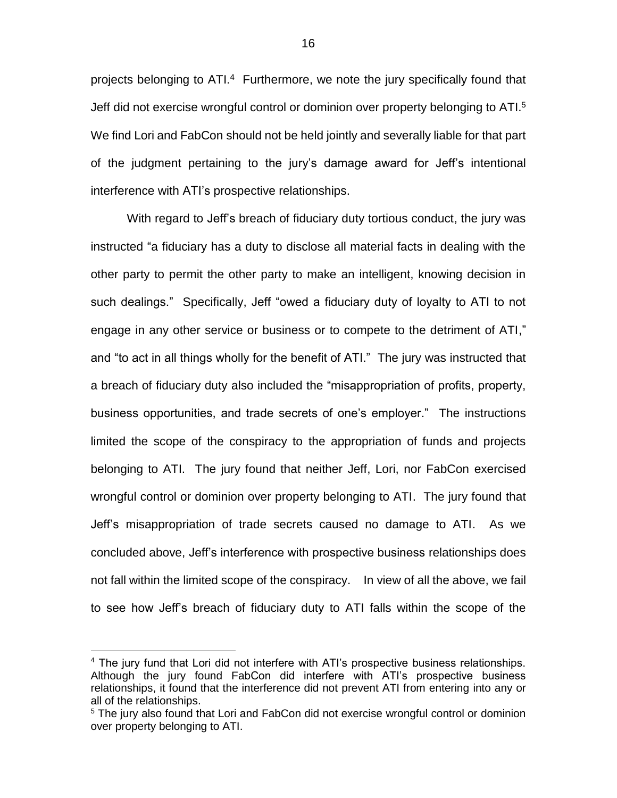projects belonging to ATI.<sup>4</sup> Furthermore, we note the jury specifically found that Jeff did not exercise wrongful control or dominion over property belonging to ATI.<sup>5</sup> We find Lori and FabCon should not be held jointly and severally liable for that part of the judgment pertaining to the jury's damage award for Jeff's intentional interference with ATI's prospective relationships.

With regard to Jeff's breach of fiduciary duty tortious conduct, the jury was instructed "a fiduciary has a duty to disclose all material facts in dealing with the other party to permit the other party to make an intelligent, knowing decision in such dealings." Specifically, Jeff "owed a fiduciary duty of loyalty to ATI to not engage in any other service or business or to compete to the detriment of ATI," and "to act in all things wholly for the benefit of ATI." The jury was instructed that a breach of fiduciary duty also included the "misappropriation of profits, property, business opportunities, and trade secrets of one's employer." The instructions limited the scope of the conspiracy to the appropriation of funds and projects belonging to ATI. The jury found that neither Jeff, Lori, nor FabCon exercised wrongful control or dominion over property belonging to ATI. The jury found that Jeff's misappropriation of trade secrets caused no damage to ATI. As we concluded above, Jeff's interference with prospective business relationships does not fall within the limited scope of the conspiracy. In view of all the above, we fail to see how Jeff's breach of fiduciary duty to ATI falls within the scope of the

 $\overline{a}$ 

<sup>&</sup>lt;sup>4</sup> The jury fund that Lori did not interfere with ATI's prospective business relationships. Although the jury found FabCon did interfere with ATI's prospective business relationships, it found that the interference did not prevent ATI from entering into any or all of the relationships.

<sup>&</sup>lt;sup>5</sup> The jury also found that Lori and FabCon did not exercise wrongful control or dominion over property belonging to ATI.